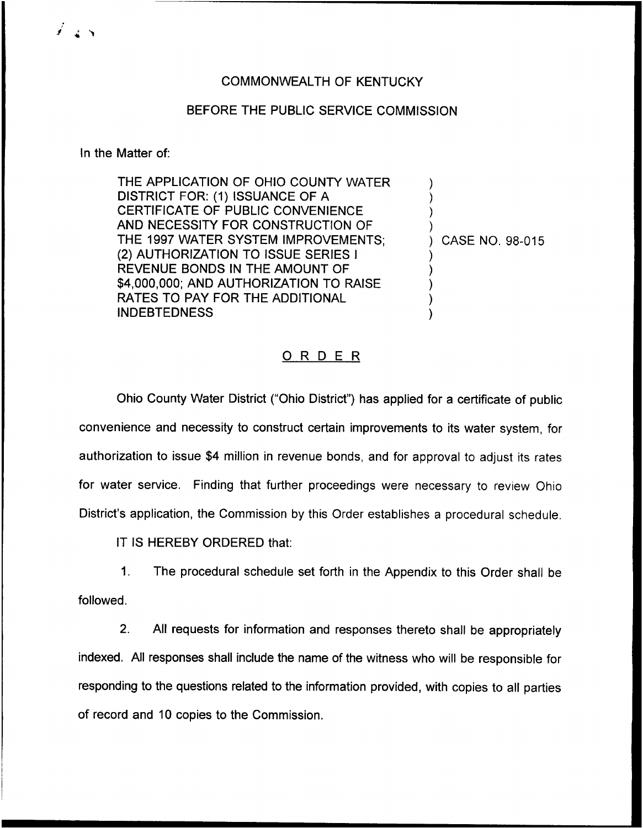## COMMONWEALTH OF KENTUCKY

## BEFORE THE PUBLIC SERVICE COMMISSION

#### In the Matter of:

 $\overrightarrow{a}$ 

THE APPLICATION OF OHIO COUNTY WATER DISTRICT FOR: (1) ISSUANCE OF A CERTIFICATE OF PUBLIC CONVENIENCE AND NECESSITY FOR CONSTRUCTION OF THE 1997 WATER SYSTEM IMPROVEMENTS; (2) AUTHORIZATION TO ISSUE SERIES <sup>I</sup> REVENUE BONDS IN THE AMOUNT OF \$4,000,000; AND AUTHORIZATION TO RAISE RATES TO PAY FOR THE ADDITIONAL INDEBTEDNESS

) CASE NO. 98-015

) ) ) )

) ) ) ) )

## ORDER

Ohio County Water District ("Ohio District" ) has applied for a certificate of public convenience and necessity to construct certain improvements to its water system, for authorization to issue \$4 million in revenue bonds, and for approval to adjust its rates for water service. Finding that further proceedings were necessary to review Ohio District's application, the Commission by this Order establishes a procedural schedule.

IT IS HEREBY ORDERED that:

 $1<sub>1</sub>$ The procedural schedule set forth in the Appendix to this Order shall be followed.

2. All requests for information and responses thereto shall be appropriately indexed. All responses shall include the name of the witness who will be responsible for responding to the questions related to the information provided, with copies to all parties of record and 10 copies to the Commission.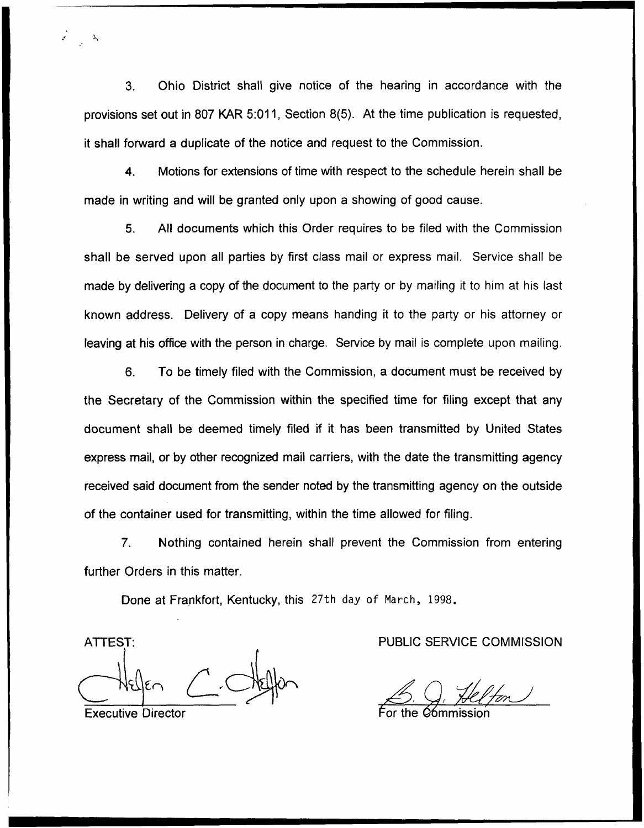3. Ohio District shall give notice of the hearing in accordance with the provisions set out in 807 KAR 5:011, Section 8(5). At the time publication is requested, it shall forward a duplicate of the notice and request to the Commission.

4. Motions for extensions of time with respect to the schedule herein shall be made in writing and will be granted only upon a showing of good cause.

5. All documents which this Order requires to be filed with the Commission shall be served upon all parties by first class mail or express mail. Service shall be made by delivering a copy of the document to the party or by mailing it to him at his last known address. Delivery of a copy means handing it to the party or his attorney or leaving at his office with the person in charge. Service by mail is complete upon mailing.

6. To be timely filed with the Commission, a document must be received by the Secretary of the Commission within the specified time for filing except that any document shall be deemed timely filed if it has been transmitted by United States express mail, or by other recognized mail carriers, with the date the transmitting agency received said document from the sender noted by the transmitting agency on the outside of the container used for transmitting, within the time allowed for filing.

?. Nothing contained herein shall prevent the Commission from entering further Orders in this matter.

Done at Frankfort, Kentucky, this 27th day of March, 1998.

Helfen C. Nelfon<br>Executive Director For the Commission

ATTEST: PUBLIC SERVICE COMMISSION